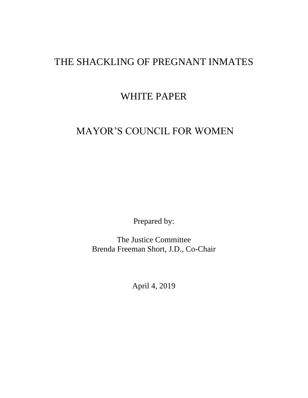# THE SHACKLING OF PREGNANT INMATES

# WHITE PAPER

# MAYOR'S COUNCIL FOR WOMEN

Prepared by:

The Justice Committee Brenda Freeman Short, J.D., Co-Chair

April 4, 2019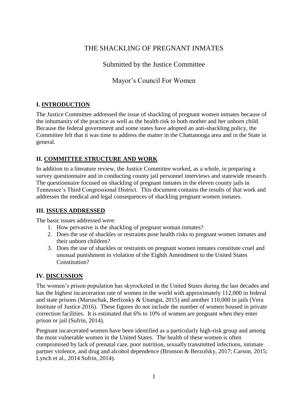# THE SHACKLING OF PREGNANT INMATES

Submitted by the Justice Committee

Mayor's Council For Women

# **I. INTRODUCTION**

The Justice Committee addressed the issue of shackling of pregnant women inmates because of the inhumanity of the practice as well as the health risk to both mother and her unborn child. Because the federal government and some states have adopted an anti-shackling policy, the Committee felt that it was time to address the matter in the Chattanooga area and in the State in general.

# **II. COMMITTEE STRUCTURE AND WORK**

In addition to a literature review, the Justice Committee worked, as a whole, in preparing a survey questionnaire and in conducting county jail personnel interviews and statewide research. The questionnaire focused on shackling of pregnant inmates in the eleven county jails in Tennessee's Third Congressional District. This document contains the results of that work and addresses the medical and legal consequences of shackling pregnant women inmates.

## **III. ISSUES ADDRESSED**

The basic issues addressed were:

- 1. How pervasive is the shackling of pregnant woman inmates?
- 2. Does the use of shackles or restraints pose health risks to pregnant women inmates and their unborn children?
- 3. Does the use of shackles or restraints on pregnant women inmates constitute cruel and unusual punishment in violation of the Eighth Amendment to the United States Constitution?

## **IV. DISCUSSION**

The women's prison population has skyrocketed in the United States during the last decades and has the highest incarceration rate of women in the world with approximately 112,000 in federal and state prisons (Maruschak, Berfzosky & Unangst, 2015) and another 110,000 in jails (Vera Institute of Justice 2016). These figures do not include the number of women housed in private correction facilities. It is estimated that 6% to 10% of women are pregnant when they enter prison or jail (Sufrin, 2014).

Pregnant incarcerated women have been identified as a particularly high-risk group and among the most vulnerable women in the United States. The health of these women is often compromised by lack of prenatal care, poor nutrition, sexually transmitted infections, intimate partner violence, and drug and alcohol dependence (Bronson & Berzofsky, 2017; Carson, 2015; Lynch et al., 2014 Sufrin, 2014).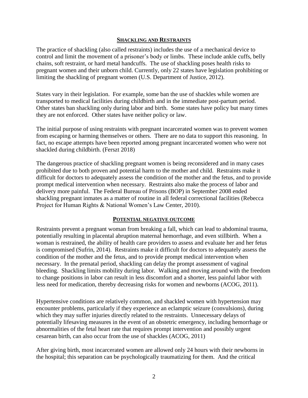#### **SHACKLING AND RESTRAINTS**

The practice of shackling (also called restraints) includes the use of a mechanical device to control and limit the movement of a prisoner's body or limbs. These include ankle cuffs, belly chains, soft restraint, or hard metal handcuffs. The use of shackling poses health risks to pregnant women and their unborn child. Currently, only 22 states have legislation prohibiting or limiting the shackling of pregnant women (U.S. Department of Justice, 2012).

States vary in their legislation. For example, some ban the use of shackles while women are transported to medical facilities during childbirth and in the immediate post-partum period. Other states ban shackling only during labor and birth. Some states have policy but many times they are not enforced. Other states have neither policy or law.

The initial purpose of using restraints with pregnant incarcerated women was to prevent women from escaping or harming themselves or others. There are no data to support this reasoning. In fact, no escape attempts have been reported among pregnant incarcerated women who were not shackled during childbirth. (Ferszt 2018)

The dangerous practice of shackling pregnant women is being reconsidered and in many cases prohibited due to both proven and potential harm to the mother and child. Restraints make it difficult for doctors to adequately assess the condition of the mother and the fetus, and to provide prompt medical intervention when necessary. Restraints also make the process of labor and delivery more painful. The Federal Bureau of Prisons (BOP) in September 2008 ended shackling pregnant inmates as a matter of routine in all federal correctional facilities (Rebecca Project for Human Rights & National Women's Law Center, 2010).

#### **POTENTIAL NEGATIVE OUTCOME**

Restraints prevent a pregnant woman from breaking a fall, which can lead to abdominal trauma, potentially resulting in placental abruption maternal hemorrhage, and even stillbirth. When a woman is restrained, the ability of health care providers to assess and evaluate her and her fetus is compromised (Sufrin, 2014). Restraints make it difficult for doctors to adequately assess the condition of the mother and the fetus, and to provide prompt medical intervention when necessary.In the prenatal period, shackling can delay the prompt assessment of vaginal bleeding. Shackling limits mobility during labor. Walking and moving around with the freedom to change positions in labor can result in less discomfort and a shorter, less painful labor with less need for medication, thereby decreasing risks for women and newborns (ACOG, 2011).

Hypertensive conditions are relatively common, and shackled women with hypertension may encounter problems, particularly if they experience an eclamptic seizure (convulsions), during which they may suffer injuries directly related to the restraints. Unnecessary delays of potentially lifesaving measures in the event of an obstetric emergency, including hemorrhage or abnormalities of the fetal heart rate that requires prompt intervention and possibly urgent cesarean birth, can also occur from the use of shackles (ACOG, 2011)

After giving birth, most incarcerated women are allowed only 24 hours with their newborns in the hospital; this separation can be psychologically traumatizing for them. And the critical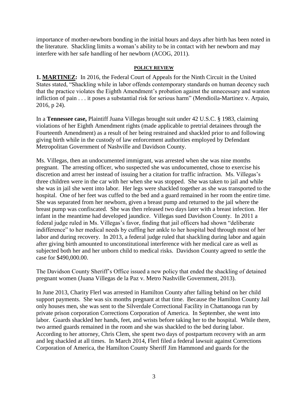importance of mother-newborn bonding in the initial hours and days after birth has been noted in the literature. Shackling limits a woman's ability to be in contact with her newborn and may interfere with her safe handling of her newborn (ACOG, 2011).

#### **POLICY REVIEW**

**1. MARTINEZ:** In 2016, the Federal Court of Appeals for the Ninth Circuit in the United States stated, "Shackling while in labor offends contemporary standards on human decency such that the practice violates the Eighth Amendment's probation against the unnecessary and wanton infliction of pain . . . it poses a substantial risk for serious harm" (Mendioila-Martinez v. Arpaio, 2016, p 24).

In a **Tennessee case,** Plaintiff Juana Villegas brought suit under 42 U.S.C. § 1983, claiming violations of her Eighth Amendment rights (made applicable to pretrial detainees through the Fourteenth Amendment) as a result of her being restrained and shackled prior to and following giving birth while in the custody of law enforcement authorities employed by Defendant Metropolitan Government of Nashville and Davidson County.

Ms. Villegas, then an undocumented immigrant, was arrested when she was nine months pregnant. The arresting officer, who suspected she was undocumented, chose to exercise his discretion and arrest her instead of issuing her a citation for traffic infraction. Ms. Villegas's three children were in the car with her when she was stopped. She was taken to jail and while she was in jail she went into labor. Her legs were shackled together as she was transported to the hospital. One of her feet was cuffed to the bed and a guard remained in her room the entire time. She was separated from her newborn, given a breast pump and returned to the jail where the breast pump was confiscated. She was then released two days later with a breast infection. Her infant in the meantime had developed jaundice. Villegas sued Davidson County. In 2011 a federal judge ruled in Ms. Villegas's favor, finding that jail officers had shown "deliberate indifference" to her medical needs by cuffing her ankle to her hospital bed through most of her labor and during recovery. In 2013, a federal judge ruled that shackling during labor and again after giving birth amounted to unconstitutional interference with her medical care as well as subjected both her and her unborn child to medical risks. Davidson County agreed to settle the case for \$490,000.00.

The Davidson County Sheriff's Office issued a new policy that ended the shackling of detained pregnant women (Juana Villegas de la Paz v. Metro Nashville Government, 2013).

In June 2013, Charity Flerl was arrested in Hamilton County after falling behind on her child support payments. She was six months pregnant at that time. Because the Hamilton County Jail only houses men, she was sent to the Silverdale Correctional Facility in Chattanooga run by private prison corporation Corrections Corporation of America. In September, she went into labor. Guards shackled her hands, feet, and wrists before taking her to the hospital. While there, two armed guards remained in the room and she was shackled to the bed during labor. According to her attorney, Chris Clem, she spent two days of postpartum recovery with an arm and leg shackled at all times. In March 2014, Flerl filed a federal lawsuit against Corrections Corporation of America, the Hamilton County Sheriff Jim Hammond and guards for the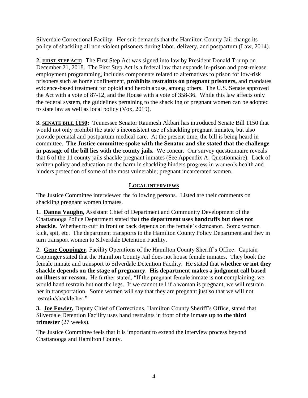Silverdale Correctional Facility. Her suit demands that the Hamilton County Jail change its policy of shackling all non-violent prisoners during labor, delivery, and postpartum (Law, 2014).

**2. FIRST STEP ACT:** The First Step Act was signed into law by President Donald Trump on December 21, 2018. The First Step Act is a federal law that expands in-prison and post-release employment programming, includes components related to alternatives to prison for low-risk prisoners such as home confinement, **prohibits restraints on pregnant prisoners,** and mandates evidence-based treatment for opioid and heroin abuse, among others. The U.S. Senate approved the Act with a vote of 87-12, and the House with a vote of 358-36. While this law affects only the federal system, the guidelines pertaining to the shackling of pregnant women can be adopted to state law as well as local policy (Vox, 2019).

**3. SENATE BILL 1150:** Tennessee Senator Raumesh Akbari has introduced Senate Bill 1150 that would not only prohibit the state's inconsistent use of shackling pregnant inmates, but also provide prenatal and postpartum medical care. At the present time, the bill is being heard in committee. **The Justice committee spoke with the Senator and she stated that the challenge in passage of the bill lies with the county jails.** We concur. Our survey questionnaire reveals that 6 of the 11 county jails shackle pregnant inmates (See Appendix A: Questionnaire). Lack of written policy and education on the harm in shackling hinders progress in women's health and hinders protection of some of the most vulnerable; pregnant incarcerated women.

## **LOCAL INTERVIEWS**

The Justice Committee interviewed the following persons. Listed are their comments on shackling pregnant women inmates.

**1. Danna Vaughn**, Assistant Chief of Department and Community Development of the Chattanooga Police Department stated that **the department uses handcuffs but does not shackle.** Whether to cuff in front or back depends on the female's demeanor. Some women kick, spit, etc. The department transports to the Hamilton County Policy Department and they in turn transport women to Silverdale Detention Facility.

**2. Gene Coppinger,** Facility Operations of the Hamilton County Sheriff's Office: Captain Coppinger stated that the Hamilton County Jail does not house female inmates. They book the female inmate and transport to Silverdale Detention Facility. He stated that **whether or not they shackle depends on the stage of pregnancy**. **His department makes a judgment call based on illness or reason.** He further stated, "If the pregnant female inmate is not complaining, we would hand restrain but not the legs. If we cannot tell if a woman is pregnant, we will restrain her in transportation. Some women will say that they are pregnant just so that we will not restrain/shackle her."

**3. Joe Fowler,** Deputy Chief of Corrections, Hamilton County Sheriff's Office, stated that Silverdale Detention Facility uses hand restraints in front of the inmate **up to the third trimester** (27 weeks).

The Justice Committee feels that it is important to extend the interview process beyond Chattanooga and Hamilton County.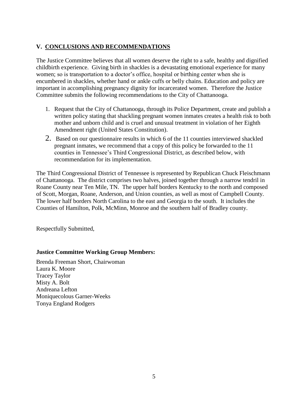## **V. CONCLUSIONS AND RECOMMENDATIONS**

The Justice Committee believes that all women deserve the right to a safe, healthy and dignified childbirth experience. Giving birth in shackles is a devastating emotional experience for many women; so is transportation to a doctor's office, hospital or birthing center when she is encumbered in shackles, whether hand or ankle cuffs or belly chains. Education and policy are important in accomplishing pregnancy dignity for incarcerated women. Therefore the Justice Committee submits the following recommendations to the City of Chattanooga.

- 1. Request that the City of Chattanooga, through its Police Department, create and publish a written policy stating that shackling pregnant women inmates creates a health risk to both mother and unborn child and is cruel and unusual treatment in violation of her Eighth Amendment right (United States Constitution).
- 2. Based on our questionnaire results in which 6 of the 11 counties interviewed shackled pregnant inmates, we recommend that a copy of this policy be forwarded to the 11 counties in Tennessee's Third Congressional District, as described below, with recommendation for its implementation.

The Third Congressional District of Tennessee is represented by Republican Chuck Fleischmann of Chattanooga. The district comprises two halves, joined together through a narrow tendril in Roane County near Ten Mile, TN. The upper half borders Kentucky to the north and composed of Scott, Morgan, Roane, Anderson, and Union counties, as well as most of Campbell County. The lower half borders North Carolina to the east and Georgia to the south. It includes the Counties of Hamilton, Polk, McMinn, Monroe and the southern half of Bradley county.

Respectfully Submitted,

### **Justice Committee Working Group Members:**

Brenda Freeman Short, Chairwoman Laura K. Moore Tracey Taylor Misty A. Bolt Andreana Lefton Moniquecolous Garner-Weeks Tonya England Rodgers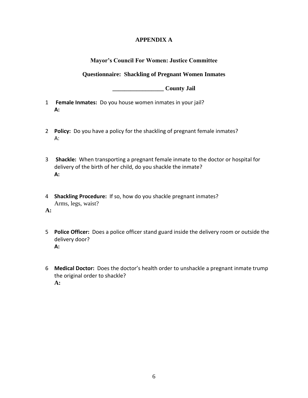## **APPENDIX A**

## **Mayor's Council For Women: Justice Committee**

## **Questionnaire: Shackling of Pregnant Women Inmates**

**\_\_\_\_\_\_\_\_\_\_\_\_\_\_\_\_\_ County Jail**

- 1 **Female Inmates:** Do you house women inmates in your jail? **A:**
- 2 **Policy:** Do you have a policy for the shackling of pregnant female inmates? A:
- 3 **Shackle:** When transporting a pregnant female inmate to the doctor or hospital for delivery of the birth of her child, do you shackle the inmate? **A:**
- 4 **Shackling Procedure:** If so, how do you shackle pregnant inmates? Arms, legs, waist?

**A:** 

- 5 **Police Officer:** Does a police officer stand guard inside the delivery room or outside the delivery door? **A:**
- 6 **Medical Doctor:** Does the doctor's health order to unshackle a pregnant inmate trump the original order to shackle? **A:**